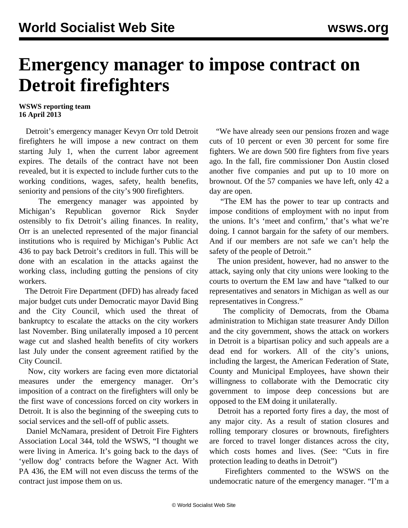## **Emergency manager to impose contract on Detroit firefighters**

## **WSWS reporting team 16 April 2013**

 Detroit's emergency manager Kevyn Orr told Detroit firefighters he will impose a new contract on them starting July 1, when the current labor agreement expires. The details of the contract have not been revealed, but it is expected to include further cuts to the working conditions, wages, safety, health benefits, seniority and pensions of the city's 900 firefighters.

 The emergency manager was appointed by Michigan's Republican governor Rick Snyder ostensibly to fix Detroit's ailing finances. In reality, Orr is an unelected represented of the major financial institutions who is required by Michigan's Public Act 436 to pay back Detroit's creditors in full. This will be done with an escalation in the attacks against the working class, including gutting the pensions of city workers.

 The Detroit Fire Department (DFD) has already faced major budget cuts under Democratic mayor David Bing and the City Council, which used the threat of bankruptcy to escalate the attacks on the city workers last November. Bing unilaterally imposed a 10 percent wage cut and slashed health benefits of city workers last July under the consent agreement ratified by the City Council.

 Now, city workers are facing even more dictatorial measures under the emergency manager. Orr's imposition of a contract on the firefighters will only be the first wave of concessions forced on city workers in Detroit. It is also the beginning of the sweeping cuts to social services and the sell-off of public assets.

 Daniel McNamara, president of Detroit Fire Fighters Association Local 344, told the WSWS, "I thought we were living in America. It's going back to the days of 'yellow dog' contracts before the Wagner Act. With PA 436, the EM will not even discuss the terms of the contract just impose them on us.

 "We have already seen our pensions frozen and wage cuts of 10 percent or even 30 percent for some fire fighters. We are down 500 fire fighters from five years ago. In the fall, fire commissioner Don Austin closed another five companies and put up to 10 more on brownout. Of the 57 companies we have left, only 42 a day are open.

 "The EM has the power to tear up contracts and impose conditions of employment with no input from the unions. It's 'meet and confirm,' that's what we're doing. I cannot bargain for the safety of our members. And if our members are not safe we can't help the safety of the people of Detroit."

 The union president, however, had no answer to the attack, saying only that city unions were looking to the courts to overturn the EM law and have "talked to our representatives and senators in Michigan as well as our representatives in Congress."

 The complicity of Democrats, from the Obama administration to Michigan state treasurer Andy Dillon and the city government, shows the attack on workers in Detroit is a bipartisan policy and such appeals are a dead end for workers. All of the city's unions, including the largest, the American Federation of State, County and Municipal Employees, have shown their willingness to collaborate with the Democratic city government to impose deep concessions but are opposed to the EM doing it unilaterally.

 Detroit has a reported forty fires a day, the most of any major city. As a result of station closures and rolling temporary closures or brownouts, firefighters are forced to travel longer distances across the city, which costs homes and lives. (See: "[Cuts in fire](/en/articles/2013/02/12/fire-f12.html) [protection leading to deaths in Detroit"](/en/articles/2013/02/12/fire-f12.html))

 Firefighters commented to the WSWS on the undemocratic nature of the emergency manager. "I'm a